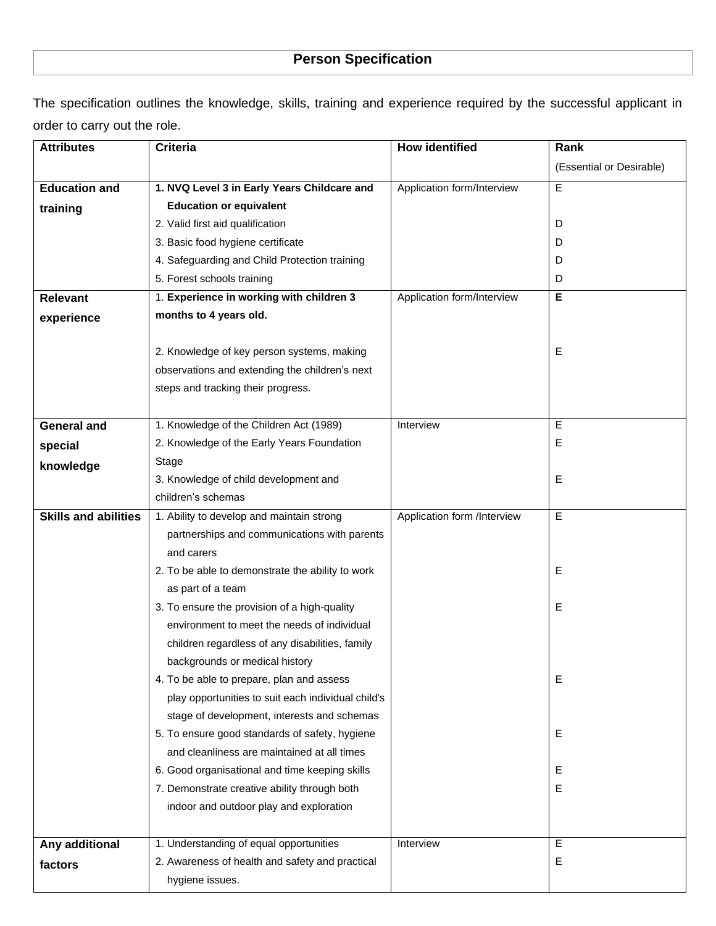The specification outlines the knowledge, skills, training and experience required by the successful applicant in order to carry out the role.

| <b>Attributes</b>           | <b>Criteria</b>                                                                   | <b>How identified</b>       | Rank                     |
|-----------------------------|-----------------------------------------------------------------------------------|-----------------------------|--------------------------|
|                             |                                                                                   |                             | (Essential or Desirable) |
| <b>Education and</b>        | 1. NVQ Level 3 in Early Years Childcare and                                       | Application form/Interview  | Е                        |
| training                    | <b>Education or equivalent</b>                                                    |                             |                          |
|                             | 2. Valid first aid qualification                                                  |                             | D                        |
|                             | 3. Basic food hygiene certificate                                                 |                             | D                        |
|                             | 4. Safeguarding and Child Protection training                                     |                             | D                        |
|                             | 5. Forest schools training                                                        |                             | D                        |
| <b>Relevant</b>             | 1. Experience in working with children 3                                          | Application form/Interview  | E                        |
| experience                  | months to 4 years old.                                                            |                             |                          |
|                             |                                                                                   |                             |                          |
|                             | 2. Knowledge of key person systems, making                                        |                             | E                        |
|                             | observations and extending the children's next                                    |                             |                          |
|                             | steps and tracking their progress.                                                |                             |                          |
|                             |                                                                                   |                             |                          |
| <b>General and</b>          | 1. Knowledge of the Children Act (1989)                                           | Interview                   | E                        |
| special                     | 2. Knowledge of the Early Years Foundation                                        |                             | Е                        |
| knowledge                   | Stage                                                                             |                             |                          |
|                             | 3. Knowledge of child development and                                             |                             | E                        |
|                             | children's schemas                                                                |                             |                          |
| <b>Skills and abilities</b> | 1. Ability to develop and maintain strong                                         | Application form /Interview | Е                        |
|                             | partnerships and communications with parents                                      |                             |                          |
|                             | and carers                                                                        |                             |                          |
|                             | 2. To be able to demonstrate the ability to work                                  |                             | E                        |
|                             | as part of a team                                                                 |                             |                          |
|                             | 3. To ensure the provision of a high-quality                                      |                             | Е                        |
|                             | environment to meet the needs of individual                                       |                             |                          |
|                             | children regardless of any disabilities, family<br>backgrounds or medical history |                             |                          |
|                             | 4. To be able to prepare, plan and assess                                         |                             | Е                        |
|                             | play opportunities to suit each individual child's                                |                             |                          |
|                             | stage of development, interests and schemas                                       |                             |                          |
|                             | 5. To ensure good standards of safety, hygiene                                    |                             | Е                        |
|                             | and cleanliness are maintained at all times                                       |                             |                          |
|                             | 6. Good organisational and time keeping skills                                    |                             | Е                        |
|                             | 7. Demonstrate creative ability through both                                      |                             | E                        |
|                             | indoor and outdoor play and exploration                                           |                             |                          |
|                             |                                                                                   |                             |                          |
| Any additional              | 1. Understanding of equal opportunities                                           | Interview                   | E                        |
| factors                     | 2. Awareness of health and safety and practical                                   |                             | Е                        |
|                             | hygiene issues.                                                                   |                             |                          |
|                             |                                                                                   |                             |                          |